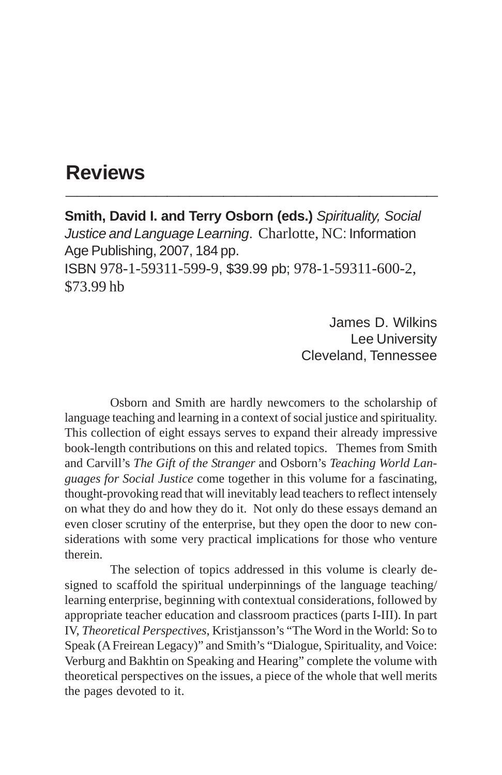## **Reviews \_\_\_\_\_\_\_\_\_\_\_\_\_\_\_\_\_\_\_\_\_\_\_\_\_\_\_\_\_\_\_\_\_**

**Smith, David I. and Terry Osborn (eds.)** *Spirituality, Social Justice and Language Learning*. Charlotte, NC: Information Age Publishing, 2007, 184 pp. ISBN 978-1-59311-599-9, \$39.99 pb; 978-1-59311-600-2, \$73.99 hb

> James D. Wilkins Lee University Cleveland, Tennessee

Osborn and Smith are hardly newcomers to the scholarship of language teaching and learning in a context of social justice and spirituality. This collection of eight essays serves to expand their already impressive book-length contributions on this and related topics. Themes from Smith and Carvill's *The Gift of the Stranger* and Osborn's *Teaching World Languages for Social Justice* come together in this volume for a fascinating, thought-provoking read that will inevitably lead teachers to reflect intensely on what they do and how they do it. Not only do these essays demand an even closer scrutiny of the enterprise, but they open the door to new considerations with some very practical implications for those who venture therein.

The selection of topics addressed in this volume is clearly designed to scaffold the spiritual underpinnings of the language teaching/ learning enterprise, beginning with contextual considerations, followed by appropriate teacher education and classroom practices (parts I-III). In part IV, *Theoretical Perspectives*, Kristjansson's "The Word in the World: So to Speak (A Freirean Legacy)" and Smith's "Dialogue, Spirituality, and Voice: Verburg and Bakhtin on Speaking and Hearing" complete the volume with theoretical perspectives on the issues, a piece of the whole that well merits the pages devoted to it.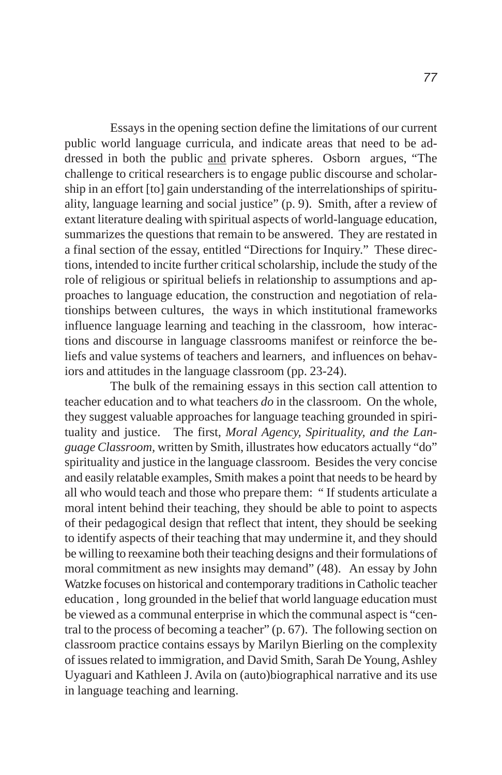Essays in the opening section define the limitations of our current public world language curricula, and indicate areas that need to be addressed in both the public and private spheres. Osborn argues, "The challenge to critical researchers is to engage public discourse and scholarship in an effort [to] gain understanding of the interrelationships of spirituality, language learning and social justice" (p. 9). Smith, after a review of extant literature dealing with spiritual aspects of world-language education, summarizes the questions that remain to be answered. They are restated in a final section of the essay, entitled "Directions for Inquiry." These directions, intended to incite further critical scholarship, include the study of the role of religious or spiritual beliefs in relationship to assumptions and approaches to language education, the construction and negotiation of relationships between cultures, the ways in which institutional frameworks influence language learning and teaching in the classroom, how interactions and discourse in language classrooms manifest or reinforce the beliefs and value systems of teachers and learners, and influences on behaviors and attitudes in the language classroom (pp. 23-24).

The bulk of the remaining essays in this section call attention to teacher education and to what teachers *do* in the classroom. On the whole, they suggest valuable approaches for language teaching grounded in spirituality and justice. The first, *Moral Agency, Spirituality, and the Language Classroom,* written by Smith, illustrates how educators actually "do" spirituality and justice in the language classroom. Besides the very concise and easily relatable examples, Smith makes a point that needs to be heard by all who would teach and those who prepare them: " If students articulate a moral intent behind their teaching, they should be able to point to aspects of their pedagogical design that reflect that intent, they should be seeking to identify aspects of their teaching that may undermine it, and they should be willing to reexamine both their teaching designs and their formulations of moral commitment as new insights may demand" (48). An essay by John Watzke focuses on historical and contemporary traditions in Catholic teacher education , long grounded in the belief that world language education must be viewed as a communal enterprise in which the communal aspect is "central to the process of becoming a teacher" (p. 67). The following section on classroom practice contains essays by Marilyn Bierling on the complexity of issues related to immigration, and David Smith, Sarah De Young, Ashley Uyaguari and Kathleen J. Avila on (auto)biographical narrative and its use in language teaching and learning.